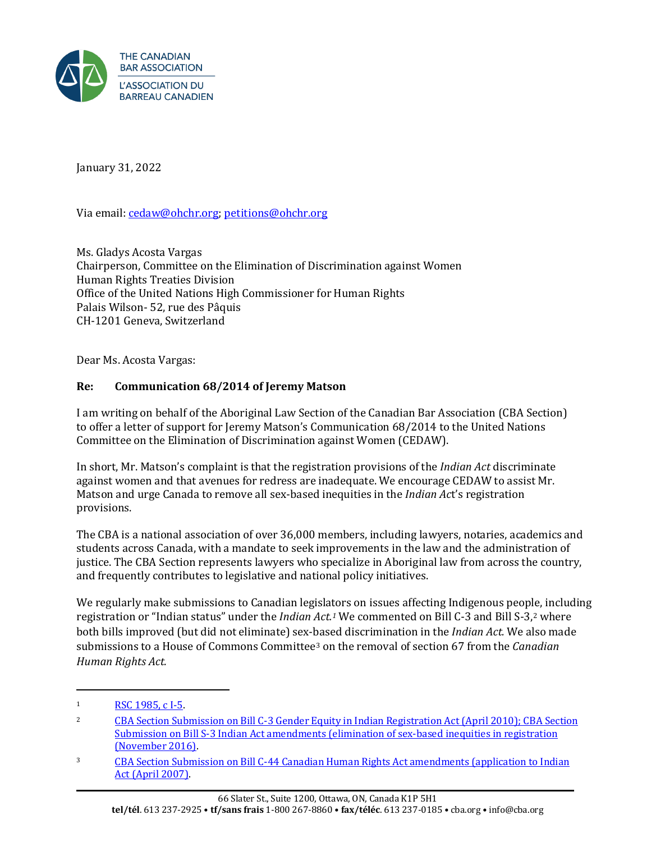

January 31, 2022

Via email[: cedaw@ohchr.org;](mailto:cedaw@ohchr.org) [petitions@ohchr.org](mailto:petitions@ohchr.org) 

Ms. Gladys Acosta Vargas Chairperson, Committee on the Elimination of Discrimination against Women Human Rights Treaties Division Office of the United Nations High Commissioner for Human Rights Palais Wilson- 52, rue des Pâquis CH-1201 Geneva, Switzerland

Dear Ms. Acosta Vargas:

## **Re: Communication 68/2014 of Jeremy Matson**

I am writing on behalf of the Aboriginal Law Section of the Canadian Bar Association (CBA Section) to offer a letter of support for Jeremy Matson's Communication 68/2014 to the United Nations Committee on the Elimination of Discrimination against Women (CEDAW).

In short, Mr. Matson's complaint is that the registration provisions of the *Indian Act* discriminate against women and that avenues for redress are inadequate. We encourage CEDAW to assist Mr. Matson and urge Canada to remove all sex-based inequities in the *Indian Ac*t's registration provisions.

The CBA is a national association of over 36,000 members, including lawyers, notaries, academics and students across Canada, with a mandate to seek improvements in the law and the administration of justice. The CBA Section represents lawyers who specialize in Aboriginal law from across the country, and frequently contributes to legislative and national policy initiatives.

We regularly make submissions to Canadian legislators on issues affecting Indigenous people, including registration or "Indian status" under the *Indian Act.1* We commented on Bill C-3 and Bill S-3,2 where both bills improved (but did not eliminate) sex-based discrimination in the *Indian Act.* We also made submissions to a House of Commons Committee3 on the removal of section 67 from the *Canadian Human Rights Act.* 

<sup>1</sup> [RSC 1985, c I-5.](https://laws-lois.justice.gc.ca/eng/acts/i-5/)

<sup>2</sup> [CBA Section Submission on Bill C-3 Gender Equity in Indian Registration Act](https://www.cba.org/CMSPages/GetFile.aspx?guid=5a2333fe-0e8b-4fe7-954d-0b99d1eec994#:%7E:text=In%201985%2C%20Bill%20C%2D313,the%20Indian%20Act%20registration%20provisions.) (April 2010); [CBA Section](https://sencanada.ca/content/sen/committee/421/APPA/Briefs/CBABriefS-3_e.pdf)  [Submission on Bill S-3 Indian Act amendments \(elimination of sex-based inequities in registration](https://sencanada.ca/content/sen/committee/421/APPA/Briefs/CBABriefS-3_e.pdf)  [\(November 2016\).](https://sencanada.ca/content/sen/committee/421/APPA/Briefs/CBABriefS-3_e.pdf) 

<sup>3</sup> [CBA Section Submission on Bill C-44 Canadian Human Rights Act amendments \(application to Indian](https://www.cba.org/CMSPages/GetFile.aspx?guid=ef6b6e0d-1f0a-4a0b-8986-6e80a1d9cf79)  Act [\(April 2007\).](https://www.cba.org/CMSPages/GetFile.aspx?guid=ef6b6e0d-1f0a-4a0b-8986-6e80a1d9cf79)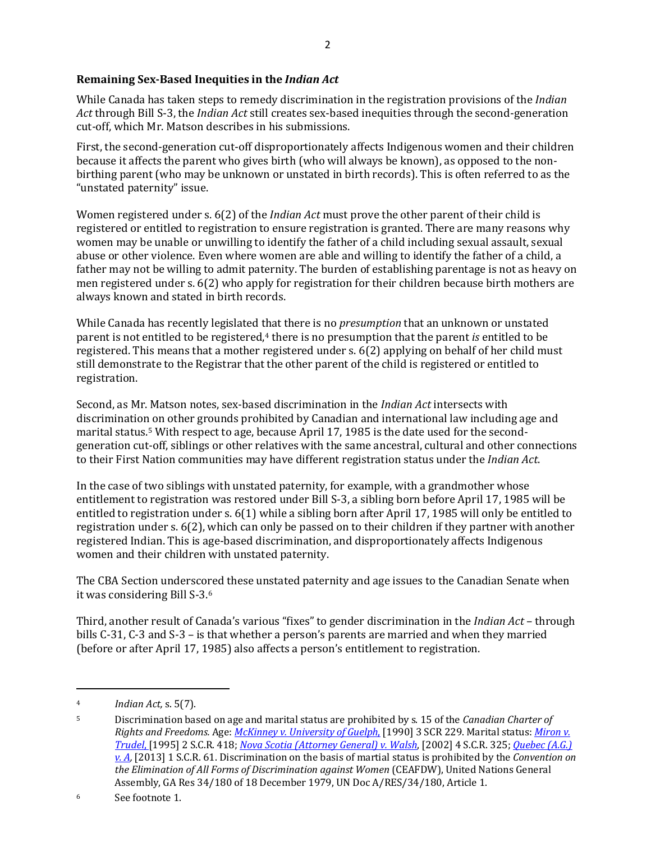## **Remaining Sex-Based Inequities in the** *Indian Act*

While Canada has taken steps to remedy discrimination in the registration provisions of the *Indian Act* through Bill S-3, the *Indian Act* still creates sex-based inequities through the second-generation cut-off, which Mr. Matson describes in his submissions.

First, the second-generation cut-off disproportionately affects Indigenous women and their children because it affects the parent who gives birth (who will always be known), as opposed to the nonbirthing parent (who may be unknown or unstated in birth records). This is often referred to as the "unstated paternity" issue.

Women registered under s. 6(2) of the *Indian Act* must prove the other parent of their child is registered or entitled to registration to ensure registration is granted. There are many reasons why women may be unable or unwilling to identify the father of a child including sexual assault, sexual abuse or other violence. Even where women are able and willing to identify the father of a child, a father may not be willing to admit paternity. The burden of establishing parentage is not as heavy on men registered under s. 6(2) who apply for registration for their children because birth mothers are always known and stated in birth records.

While Canada has recently legislated that there is no *presumption* that an unknown or unstated parent is not entitled to be registered,<sup>4</sup> there is no presumption that the parent *is* entitled to be registered. This means that a mother registered under s. 6(2) applying on behalf of her child must still demonstrate to the Registrar that the other parent of the child is registered or entitled to registration.

Second, as Mr. Matson notes, sex-based discrimination in the *Indian Act* intersects with discrimination on other grounds prohibited by Canadian and international law including age and marital status.5 With respect to age, because April 17, 1985 is the date used for the secondgeneration cut-off, siblings or other relatives with the same ancestral, cultural and other connections to their First Nation communities may have different registration status under the *Indian Act*.

In the case of two siblings with unstated paternity, for example, with a grandmother whose entitlement to registration was restored under Bill S-3, a sibling born before April 17, 1985 will be entitled to registration under s. 6(1) while a sibling born after April 17, 1985 will only be entitled to registration under s. 6(2), which can only be passed on to their children if they partner with another registered Indian. This is age-based discrimination, and disproportionately affects Indigenous women and their children with unstated paternity.

The CBA Section underscored these unstated paternity and age issues to the Canadian Senate when it was considering Bill S-3.6

Third, another result of Canada's various "fixes" to gender discrimination in the *Indian Act* – through bills C-31, C-3 and S-3 – is that whether a person's parents are married and when they married (before or after April 17, 1985) also affects a person's entitlement to registration.

<sup>4</sup> *Indian Act,* s. 5(7).

<sup>5</sup> Discrimination based on age and marital status are prohibited by s. 15 of the *Canadian Charter of Rights and Freedoms.* Age: *[McKinney v. University of Guelph](https://scc-csc.lexum.com/scc-csc/scc-csc/en/item/687/index.do)*, [1990] 3 SCR 229. Marital status: *[Miron v.](https://scc-csc.lexum.com/scc-csc/scc-csc/en/item/1264/index.do)  [Trudel](https://scc-csc.lexum.com/scc-csc/scc-csc/en/item/1264/index.do)*, [1995] 2 S.C.R. 418; *[Nova Scotia \(Attorney General\) v. Walsh](https://scc-csc.lexum.com/scc-csc/scc-csc/en/item/2026/index.do)*, [2002] 4 S.C.R. 325; *[Quebec \(A.G.\)](https://scc-csc.lexum.com/scc-csc/scc-csc/en/item/10536/index.do)  [v. A,](https://scc-csc.lexum.com/scc-csc/scc-csc/en/item/10536/index.do)* [2013] 1 S.C.R. 61. Discrimination on the basis of martial status is prohibited by the *Convention on the Elimination of All Forms of Discrimination against Women* (CEAFDW), United Nations General Assembly, GA Res 34/180 of 18 December 1979, UN Doc A/RES/34/180, Article 1.

<sup>6</sup> See footnote 1.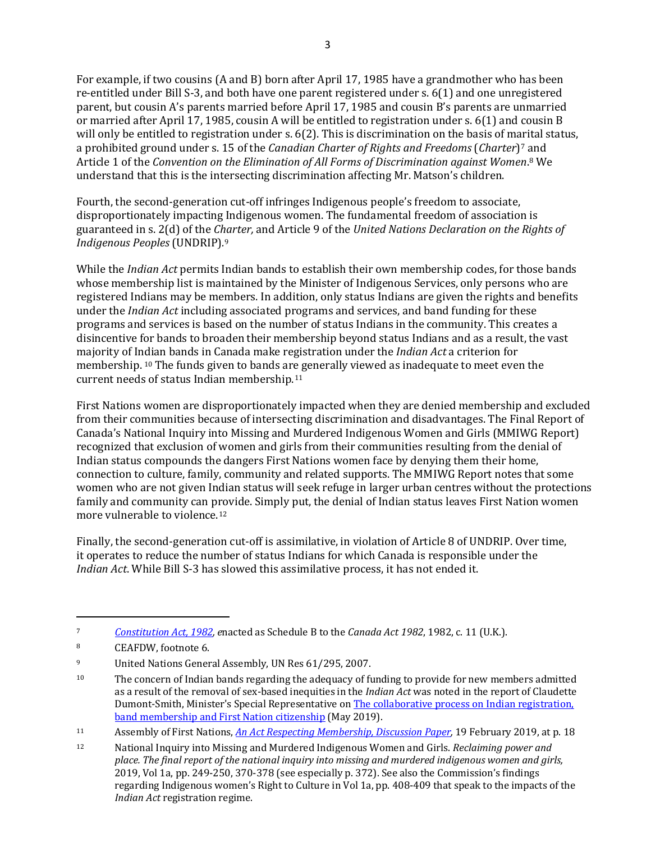For example, if two cousins (A and B) born after April 17, 1985 have a grandmother who has been re-entitled under Bill S-3, and both have one parent registered under s. 6(1) and one unregistered parent, but cousin A's parents married before April 17, 1985 and cousin B's parents are unmarried or married after April 17, 1985, cousin A will be entitled to registration under s. 6(1) and cousin B will only be entitled to registration under s. 6(2). This is discrimination on the basis of marital status, a prohibited ground under s. 15 of the *Canadian Charter of Rights and Freedoms* (*Charter*)7 and Article 1 of the *Convention on the Elimination of All Forms of Discrimination against Women*.8 We understand that this is the intersecting discrimination affecting Mr. Matson's children.

Fourth, the second-generation cut-off infringes Indigenous people's freedom to associate, disproportionately impacting Indigenous women. The fundamental freedom of association is guaranteed in s. 2(d) of the *Charter,* and Article 9 of the *United Nations Declaration on the Rights of Indigenous Peoples* (UNDRIP)*.*9

While the *Indian Act* permits Indian bands to establish their own membership codes, for those bands whose membership list is maintained by the Minister of Indigenous Services, only persons who are registered Indians may be members. In addition, only status Indians are given the rights and benefits under the *Indian Act* including associated programs and services, and band funding for these programs and services is based on the number of status Indians in the community. This creates a disincentive for bands to broaden their membership beyond status Indians and as a result, the vast majority of Indian bands in Canada make registration under the *Indian Act* a criterion for membership. <sup>10</sup> The funds given to bands are generally viewed as inadequate to meet even the current needs of status Indian membership.11

First Nations women are disproportionately impacted when they are denied membership and excluded from their communities because of intersecting discrimination and disadvantages. The Final Report of Canada's National Inquiry into Missing and Murdered Indigenous Women and Girls (MMIWG Report) recognized that exclusion of women and girls from their communities resulting from the denial of Indian status compounds the dangers First Nations women face by denying them their home, connection to culture, family, community and related supports. The MMIWG Report notes that some women who are not given Indian status will seek refuge in larger urban centres without the protections family and community can provide. Simply put, the denial of Indian status leaves First Nation women more vulnerable to violence.12

Finally, the second-generation cut-off is assimilative, in violation of Article 8 of UNDRIP. Over time, it operates to reduce the number of status Indians for which Canada is responsible under the *Indian Act*. While Bill S-3 has slowed this assimilative process, it has not ended it.

<sup>7</sup> *[Constitution Act, 1982,](https://laws-lois.justice.gc.ca/eng/const/page-12.html) e*nacted as Schedule B to the *Canada Act 1982*, 1982, c. 11 (U.K.).

<sup>8</sup> CEAFDW, footnote 6.

<sup>9</sup> United Nations General Assembly, UN Res 61/295, 2007.

<sup>&</sup>lt;sup>10</sup> The concern of Indian bands regarding the adequacy of funding to provide for new members admitted as a result of the removal of sex-based inequities in the *Indian Act* was noted in the report of Claudette Dumont-Smith, Minister's Special Representative o[n The collaborative process on Indian registration,](https://www.rcaanc-cirnac.gc.ca/eng/1561561140999/1568902073183)  [band membership and First Nation citizenship](https://www.rcaanc-cirnac.gc.ca/eng/1561561140999/1568902073183) (May 2019).

<sup>11</sup> Assembly of First Nations, *[An Act Respecting Membership, Discussion Paper,](https://www.afn.ca/wp-content/uploads/2020/01/00-19-02-06-Discussion-Paper-Citizenship.pdf)* 19 February 2019, at p. 18

<sup>12</sup> National Inquiry into Missing and Murdered Indigenous Women and Girls. *Reclaiming power and place. The final report of the national inquiry into missing and murdered indigenous women and girls,*  2019, Vol 1a, pp. 249-250, 370-378 (see especially p. 372). See also the Commission's findings regarding Indigenous women's Right to Culture in Vol 1a, pp. 408-409 that speak to the impacts of the *Indian Act* registration regime.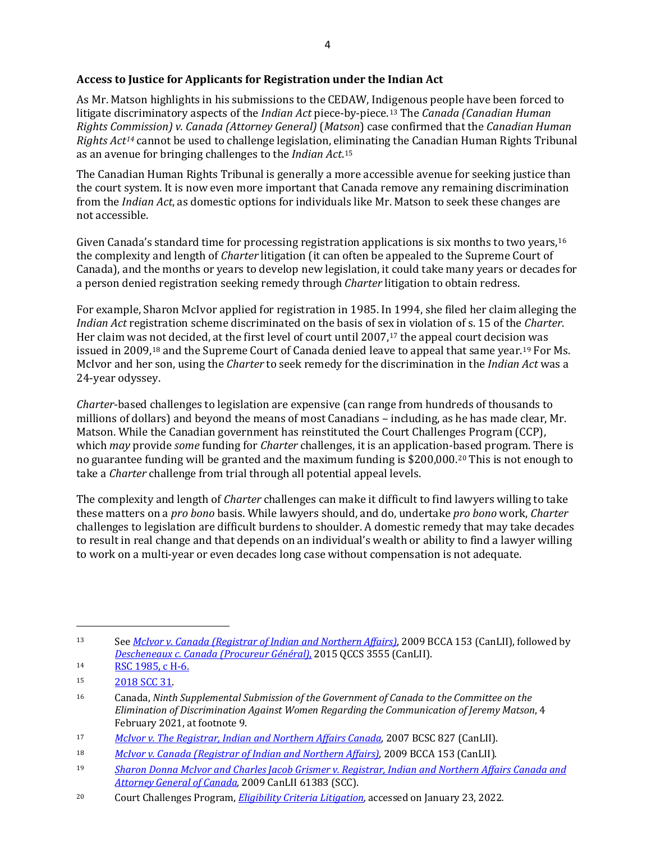## **Access to Justice for Applicants for Registration under the Indian Act**

As Mr. Matson highlights in his submissions to the CEDAW, Indigenous people have been forced to litigate discriminatory aspects of the *Indian Act* piece-by-piece.13 The *Canada (Canadian Human Rights Commission) v. Canada (Attorney General)* (*Matson*) case confirmed that the *Canadian Human Rights Act14* cannot be used to challenge legislation, eliminating the Canadian Human Rights Tribunal as an avenue for bringing challenges to the *Indian Act*.15

The Canadian Human Rights Tribunal is generally a more accessible avenue for seeking justice than the court system. It is now even more important that Canada remove any remaining discrimination from the *Indian Act*, as domestic options for individuals like Mr. Matson to seek these changes are not accessible.

Given Canada's standard time for processing registration applications is six months to two years, <sup>16</sup> the complexity and length of *Charter* litigation (it can often be appealed to the Supreme Court of Canada), and the months or years to develop new legislation, it could take many years or decades for a person denied registration seeking remedy through *Charter* litigation to obtain redress.

For example, Sharon McIvor applied for registration in 1985. In 1994, she filed her claim alleging the *Indian Act* registration scheme discriminated on the basis of sex in violation of s. 15 of the *Charter*. Her claim was not decided, at the first level of court until 2007,<sup>17</sup> the appeal court decision was issued in 2009,<sup>18</sup> and the Supreme Court of Canada denied leave to appeal that same year.<sup>19</sup> For Ms. McIvor and her son, using the *Charter* to seek remedy for the discrimination in the *Indian Act* was a 24-year odyssey.

*Charter*-based challenges to legislation are expensive (can range from hundreds of thousands to millions of dollars) and beyond the means of most Canadians – including, as he has made clear, Mr. Matson. While the Canadian government has reinstituted the Court Challenges Program (CCP), which *may* provide *some* funding for *Charter* challenges, it is an application-based program. There is no guarantee funding will be granted and the maximum funding is \$200,000.20 This is not enough to take a *Charter* challenge from trial through all potential appeal levels.

The complexity and length of *Charter* challenges can make it difficult to find lawyers willing to take these matters on a *pro bono* basis. While lawyers should, and do, undertake *pro bono* work, *Charter*  challenges to legislation are difficult burdens to shoulder. A domestic remedy that may take decades to result in real change and that depends on an individual's wealth or ability to find a lawyer willing to work on a multi-year or even decades long case without compensation is not adequate.

<sup>13</sup> See *[McIvor v. Canada \(Registrar of Indian and Northern Affairs\)](https://canlii.ca/t/230zn)*, 2009 BCCA 153 (CanLII), followed by *[Descheneaux c. Canada \(Procureur Général\)](https://canlii.ca/t/glzhm)*, 2015 QCCS 3555 (CanLII).

<sup>14</sup> [RSC 1985, c H-6.](https://laws-lois.justice.gc.ca/eng/acts/h-6/)

<sup>15</sup> [2018 SCC 31.](https://decisions.scc-csc.ca/scc-csc/scc-csc/en/item/17134/index.do?q=matson) 

<sup>16</sup> Canada, *Ninth Supplemental Submission of the Government of Canada to the Committee on the Elimination of Discrimination Against Women Regarding the Communication of Jeremy Matson*, 4 February 2021, at footnote 9.

<sup>17</sup> *[McIvor v. The Registrar, Indian and Northern Affairs Canada](https://canlii.ca/t/1rr84)*, 2007 BCSC 827 (CanLII).

<sup>18</sup> *[McIvor v. Canada \(Registrar of Indian and Northern Affairs\)](https://canlii.ca/t/230zn)*, 2009 BCCA 153 (CanLII).

<sup>19</sup> *[Sharon Donna McIvor and Charles Jacob Grismer v. Registrar, Indian and Northern Affairs Canada and](https://canlii.ca/t/26h7t)  [Attorney General of Canada](https://canlii.ca/t/26h7t)*, 2009 CanLII 61383 (SCC).

<sup>20</sup> Court Challenges Program, *[Eligibility Criteria Litigation,](https://pcjccp.ca/rights-human-rights/litigation-human-rights-rights/)* accessed on January 23, 2022*.*